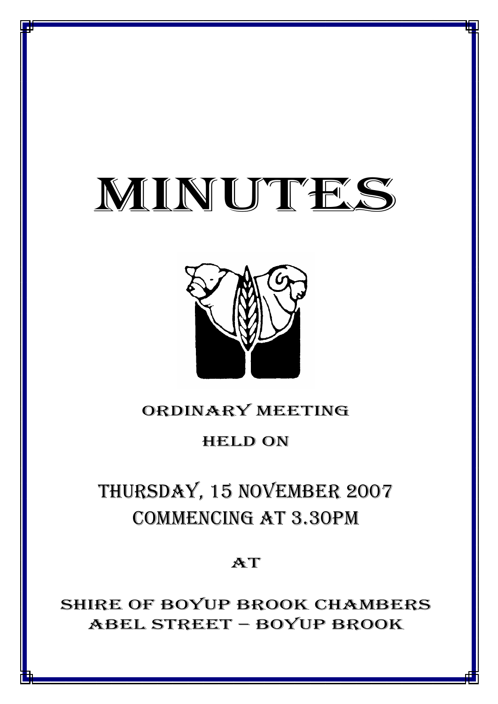# MINUTES

*MINUTES OF THE ORDINARY MEETING OF COUNCIL HELD ON 15 NOVEMBER 2007*



## ORDINARY MEETING

## HELD ON

## THURSDAY, 15 NOVEMBER 2007 COMMENCING AT 3.30PM

## AT

SHIRE OF BOYUP BROOK CHAMBERS ABEL STREET – BOYUP BROOK

<u>1941 - Joseph Joseph Amerikaanse koning van die koning van die koning van die koning van die koning van die ko</u>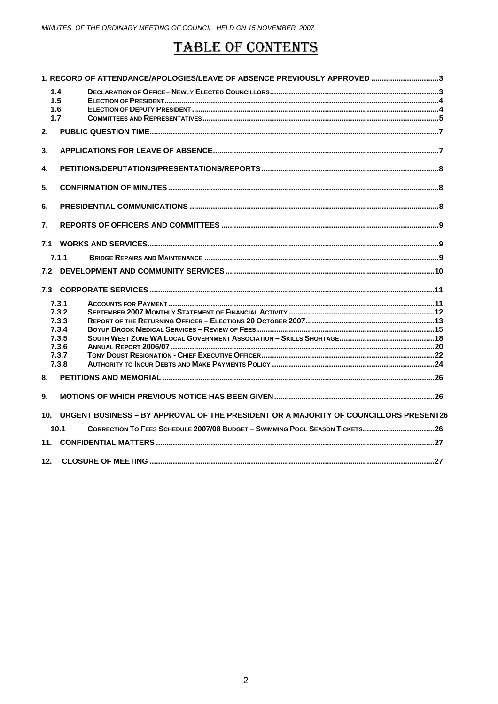## **TABLE OF CONTENTS**

|     |                                                                      | 1. RECORD OF ATTENDANCE/APOLOGIES/LEAVE OF ABSENCE PREVIOUSLY APPROVED 3              |  |
|-----|----------------------------------------------------------------------|---------------------------------------------------------------------------------------|--|
|     | 1.4<br>1.5<br>1.6<br>1.7                                             |                                                                                       |  |
| 2.  |                                                                      |                                                                                       |  |
| 3.  |                                                                      |                                                                                       |  |
| 4.  |                                                                      |                                                                                       |  |
| 5.  |                                                                      |                                                                                       |  |
| 6.  |                                                                      |                                                                                       |  |
| 7.  |                                                                      |                                                                                       |  |
| 7.1 |                                                                      |                                                                                       |  |
|     | 7.1.1                                                                |                                                                                       |  |
|     |                                                                      |                                                                                       |  |
|     |                                                                      |                                                                                       |  |
|     | 7.3.1<br>7.3.2<br>7.3.3<br>7.3.4<br>7.3.5<br>7.3.6<br>7.3.7<br>7.3.8 |                                                                                       |  |
| 8.  |                                                                      |                                                                                       |  |
| 9.  |                                                                      |                                                                                       |  |
| 10. |                                                                      | URGENT BUSINESS – BY APPROVAL OF THE PRESIDENT OR A MAJORITY OF COUNCILLORS PRESENT26 |  |
|     | 10.1                                                                 | CORRECTION TO FEES SCHEDULE 2007/08 BUDGET - SWIMMING POOL SEASON TICKETS26           |  |
|     |                                                                      |                                                                                       |  |
| 12. |                                                                      |                                                                                       |  |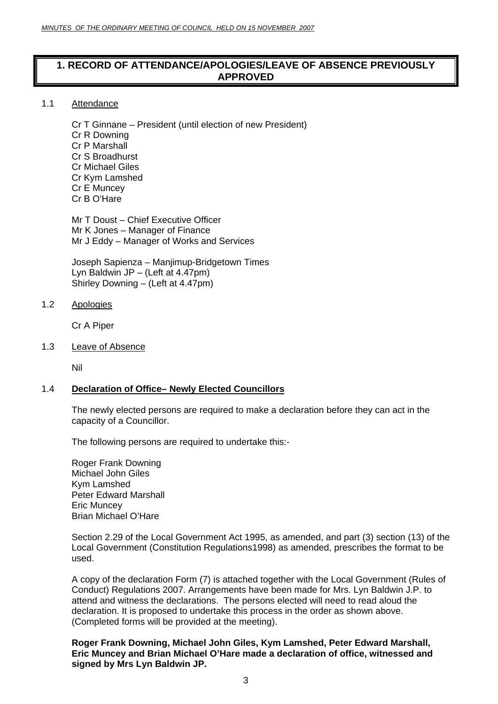#### <span id="page-2-0"></span>**1. RECORD OF ATTENDANCE/APOLOGIES/LEAVE OF ABSENCE PREVIOUSLY APPROVED**

#### 1.1 Attendance

Cr T Ginnane – President (until election of new President) Cr R Downing Cr P Marshall Cr S Broadhurst Cr Michael Giles Cr Kym Lamshed Cr E Muncey Cr B O'Hare

Mr T Doust – Chief Executive Officer Mr K Jones – Manager of Finance Mr J Eddy – Manager of Works and Services

Joseph Sapienza – Manjimup-Bridgetown Times Lyn Baldwin JP – (Left at 4.47pm) Shirley Downing – (Left at 4.47pm)

#### 1.2 Apologies

Cr A Piper

#### 1.3 Leave of Absence

Nil

#### 1.4 **Declaration of Office– Newly Elected Councillors**

The newly elected persons are required to make a declaration before they can act in the capacity of a Councillor.

The following persons are required to undertake this:-

Roger Frank Downing Michael John Giles Kym Lamshed Peter Edward Marshall Eric Muncey Brian Michael O'Hare

Section 2.29 of the Local Government Act 1995, as amended, and part (3) section (13) of the Local Government (Constitution Regulations1998) as amended, prescribes the format to be used.

A copy of the declaration Form (7) is attached together with the Local Government (Rules of Conduct) Regulations 2007. Arrangements have been made for Mrs. Lyn Baldwin J.P. to attend and witness the declarations. The persons elected will need to read aloud the declaration. It is proposed to undertake this process in the order as shown above. (Completed forms will be provided at the meeting).

**Roger Frank Downing, Michael John Giles, Kym Lamshed, Peter Edward Marshall, Eric Muncey and Brian Michael O'Hare made a declaration of office, witnessed and signed by Mrs Lyn Baldwin JP.**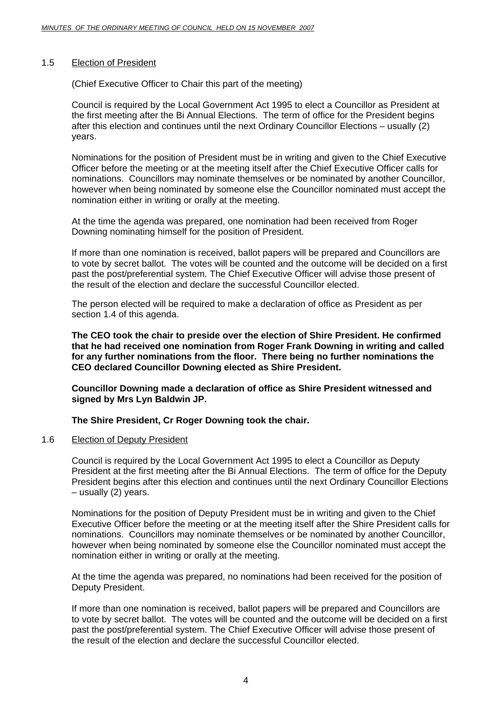#### <span id="page-3-0"></span>1.5 Election of President

(Chief Executive Officer to Chair this part of the meeting)

Council is required by the Local Government Act 1995 to elect a Councillor as President at the first meeting after the Bi Annual Elections. The term of office for the President begins after this election and continues until the next Ordinary Councillor Elections – usually (2) years.

Nominations for the position of President must be in writing and given to the Chief Executive Officer before the meeting or at the meeting itself after the Chief Executive Officer calls for nominations. Councillors may nominate themselves or be nominated by another Councillor, however when being nominated by someone else the Councillor nominated must accept the nomination either in writing or orally at the meeting.

At the time the agenda was prepared, one nomination had been received from Roger Downing nominating himself for the position of President.

If more than one nomination is received, ballot papers will be prepared and Councillors are to vote by secret ballot. The votes will be counted and the outcome will be decided on a first past the post/preferential system. The Chief Executive Officer will advise those present of the result of the election and declare the successful Councillor elected.

The person elected will be required to make a declaration of office as President as per section 1.4 of this agenda.

**The CEO took the chair to preside over the election of Shire President. He confirmed that he had received one nomination from Roger Frank Downing in writing and called for any further nominations from the floor. There being no further nominations the CEO declared Councillor Downing elected as Shire President.** 

**Councillor Downing made a declaration of office as Shire President witnessed and signed by Mrs Lyn Baldwin JP.** 

**The Shire President, Cr Roger Downing took the chair.** 

#### 1.6 Election of Deputy President

Council is required by the Local Government Act 1995 to elect a Councillor as Deputy President at the first meeting after the Bi Annual Elections. The term of office for the Deputy President begins after this election and continues until the next Ordinary Councillor Elections – usually (2) years.

Nominations for the position of Deputy President must be in writing and given to the Chief Executive Officer before the meeting or at the meeting itself after the Shire President calls for nominations. Councillors may nominate themselves or be nominated by another Councillor, however when being nominated by someone else the Councillor nominated must accept the nomination either in writing or orally at the meeting.

At the time the agenda was prepared, no nominations had been received for the position of Deputy President.

If more than one nomination is received, ballot papers will be prepared and Councillors are to vote by secret ballot. The votes will be counted and the outcome will be decided on a first past the post/preferential system. The Chief Executive Officer will advise those present of the result of the election and declare the successful Councillor elected.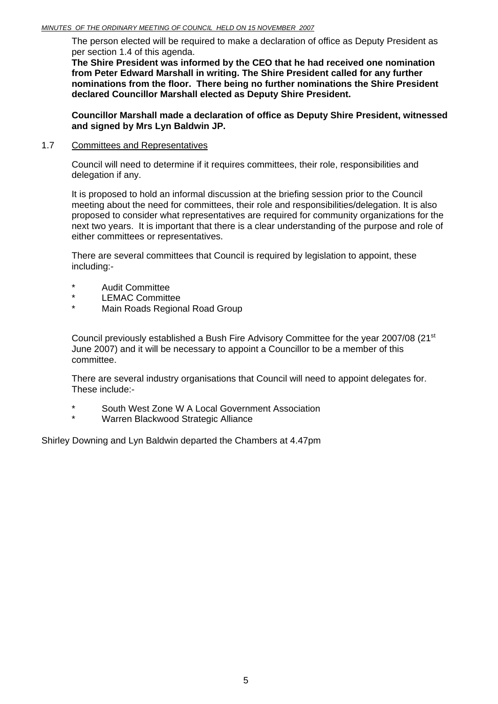<span id="page-4-0"></span>The person elected will be required to make a declaration of office as Deputy President as per section 1.4 of this agenda.

**The Shire President was informed by the CEO that he had received one nomination from Peter Edward Marshall in writing. The Shire President called for any further nominations from the floor. There being no further nominations the Shire President declared Councillor Marshall elected as Deputy Shire President.** 

**Councillor Marshall made a declaration of office as Deputy Shire President, witnessed and signed by Mrs Lyn Baldwin JP.** 

#### 1.7 Committees and Representatives

Council will need to determine if it requires committees, their role, responsibilities and delegation if any.

It is proposed to hold an informal discussion at the briefing session prior to the Council meeting about the need for committees, their role and responsibilities/delegation. It is also proposed to consider what representatives are required for community organizations for the next two years. It is important that there is a clear understanding of the purpose and role of either committees or representatives.

There are several committees that Council is required by legislation to appoint, these including:-

- Audit Committee
- \* LEMAC Committee
- Main Roads Regional Road Group

Council previously established a Bush Fire Advisory Committee for the year 2007/08 (21<sup>st</sup> June 2007) and it will be necessary to appoint a Councillor to be a member of this committee.

There are several industry organisations that Council will need to appoint delegates for. These include:-

- South West Zone W A Local Government Association
- Warren Blackwood Strategic Alliance

Shirley Downing and Lyn Baldwin departed the Chambers at 4.47pm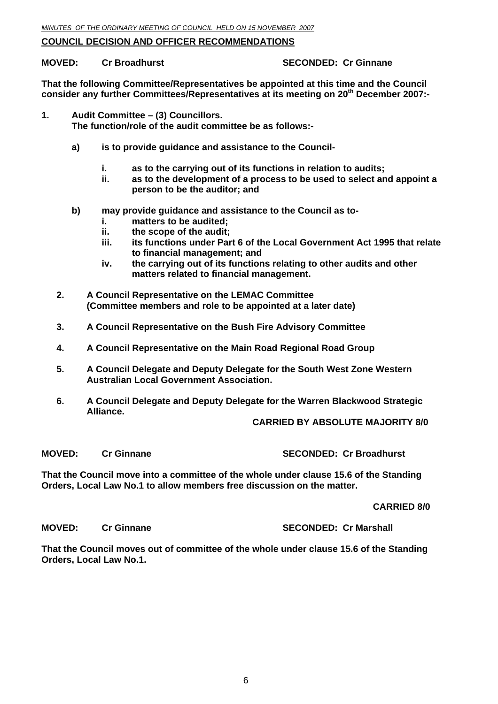#### **COUNCIL DECISION AND OFFICER RECOMMENDATIONS**

**MOVED: Cr Broadhurst SECONDED: Cr Ginnane** 

**That the following Committee/Representatives be appointed at this time and the Council consider any further Committees/Representatives at its meeting on 20th December 2007:-** 

**1. Audit Committee – (3) Councillors.** 

 **The function/role of the audit committee be as follows:-** 

- **a) is to provide guidance and assistance to the Council** 
	- **i. as to the carrying out of its functions in relation to audits;**
	- **ii. as to the development of a process to be used to select and appoint a person to be the auditor; and**
- **b) may provide guidance and assistance to the Council as to** 
	- **i. matters to be audited;**
	- **ii. the scope of the audit;**
	- **iii. its functions under Part 6 of the Local Government Act 1995 that relate to financial management; and**
	- **iv. the carrying out of its functions relating to other audits and other matters related to financial management.**
- **2. A Council Representative on the LEMAC Committee (Committee members and role to be appointed at a later date)**
- **3. A Council Representative on the Bush Fire Advisory Committee**
- **4. A Council Representative on the Main Road Regional Road Group**
- **5. A Council Delegate and Deputy Delegate for the South West Zone Western Australian Local Government Association.**
- **6. A Council Delegate and Deputy Delegate for the Warren Blackwood Strategic Alliance.**

#### **CARRIED BY ABSOLUTE MAJORITY 8/0**

**MOVED: Cr Ginnane SECONDED: Cr Broadhurst** 

**That the Council move into a committee of the whole under clause 15.6 of the Standing Orders, Local Law No.1 to allow members free discussion on the matter.** 

**CARRIED 8/0** 

**MOVED: Cr Ginnane SECONDED: Cr Marshall** 

**That the Council moves out of committee of the whole under clause 15.6 of the Standing Orders, Local Law No.1.**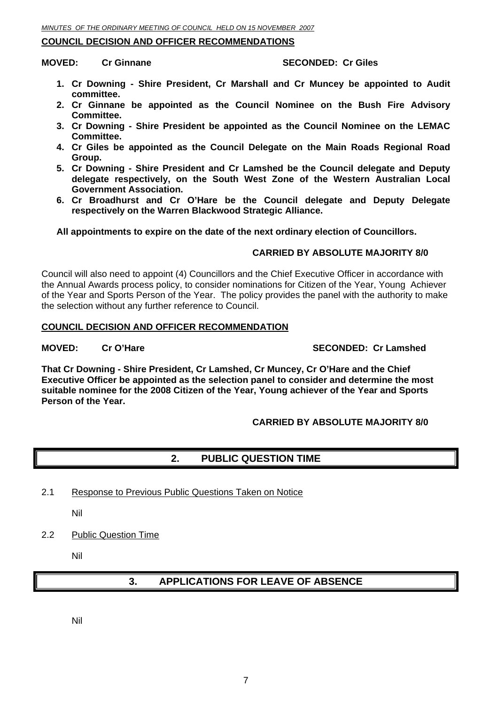#### <span id="page-6-0"></span>**COUNCIL DECISION AND OFFICER RECOMMENDATIONS**

**MOVED:** Cr Ginnane **SECONDED:** Cr Giles

- **1. Cr Downing Shire President, Cr Marshall and Cr Muncey be appointed to Audit committee.**
- **2. Cr Ginnane be appointed as the Council Nominee on the Bush Fire Advisory Committee.**
- **3. Cr Downing Shire President be appointed as the Council Nominee on the LEMAC Committee.**
- **4. Cr Giles be appointed as the Council Delegate on the Main Roads Regional Road Group.**
- **5. Cr Downing Shire President and Cr Lamshed be the Council delegate and Deputy delegate respectively, on the South West Zone of the Western Australian Local Government Association.**
- **6. Cr Broadhurst and Cr O'Hare be the Council delegate and Deputy Delegate respectively on the Warren Blackwood Strategic Alliance.**

**All appointments to expire on the date of the next ordinary election of Councillors.** 

#### **CARRIED BY ABSOLUTE MAJORITY 8/0**

Council will also need to appoint (4) Councillors and the Chief Executive Officer in accordance with the Annual Awards process policy, to consider nominations for Citizen of the Year, Young Achiever of the Year and Sports Person of the Year. The policy provides the panel with the authority to make the selection without any further reference to Council.

#### **COUNCIL DECISION AND OFFICER RECOMMENDATION**

#### **MOVED:** Cr O'Hare SECONDED: Cr Lamshed

**That Cr Downing - Shire President, Cr Lamshed, Cr Muncey, Cr O'Hare and the Chief Executive Officer be appointed as the selection panel to consider and determine the most suitable nominee for the 2008 Citizen of the Year, Young achiever of the Year and Sports Person of the Year.** 

#### **CARRIED BY ABSOLUTE MAJORITY 8/0**

#### **2. PUBLIC QUESTION TIME**

2.1 Response to Previous Public Questions Taken on Notice

Nil

2.2 Public Question Time

Nil

#### **3. APPLICATIONS FOR LEAVE OF ABSENCE**

Nil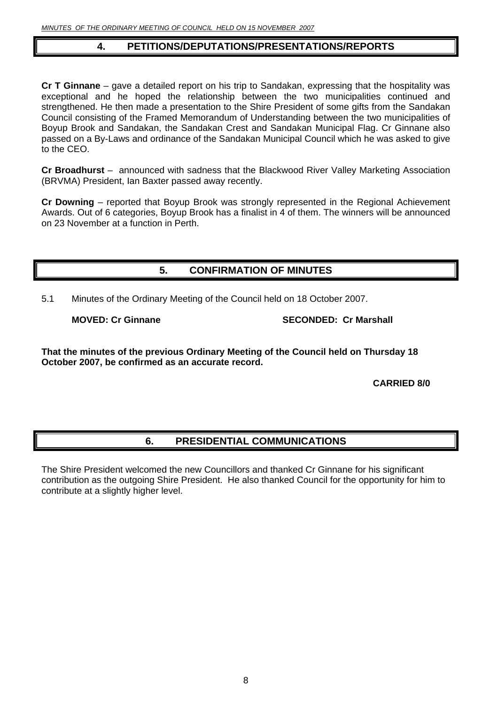### **4. PETITIONS/DEPUTATIONS/PRESENTATIONS/REPORTS**

<span id="page-7-0"></span>**Cr T Ginnane** – gave a detailed report on his trip to Sandakan, expressing that the hospitality was exceptional and he hoped the relationship between the two municipalities continued and strengthened. He then made a presentation to the Shire President of some gifts from the Sandakan Council consisting of the Framed Memorandum of Understanding between the two municipalities of Boyup Brook and Sandakan, the Sandakan Crest and Sandakan Municipal Flag. Cr Ginnane also passed on a By-Laws and ordinance of the Sandakan Municipal Council which he was asked to give to the CEO.

**Cr Broadhurst** – announced with sadness that the Blackwood River Valley Marketing Association (BRVMA) President, Ian Baxter passed away recently.

**Cr Downing** – reported that Boyup Brook was strongly represented in the Regional Achievement Awards. Out of 6 categories, Boyup Brook has a finalist in 4 of them. The winners will be announced on 23 November at a function in Perth.

#### **5. CONFIRMATION OF MINUTES**

5.1 Minutes of the Ordinary Meeting of the Council held on 18 October 2007.

**MOVED: Cr Ginnane SECONDED: Cr Marshall** 

**That the minutes of the previous Ordinary Meeting of the Council held on Thursday 18 October 2007, be confirmed as an accurate record.** 

 **CARRIED 8/0** 

### **6. PRESIDENTIAL COMMUNICATIONS**

The Shire President welcomed the new Councillors and thanked Cr Ginnane for his significant contribution as the outgoing Shire President. He also thanked Council for the opportunity for him to contribute at a slightly higher level.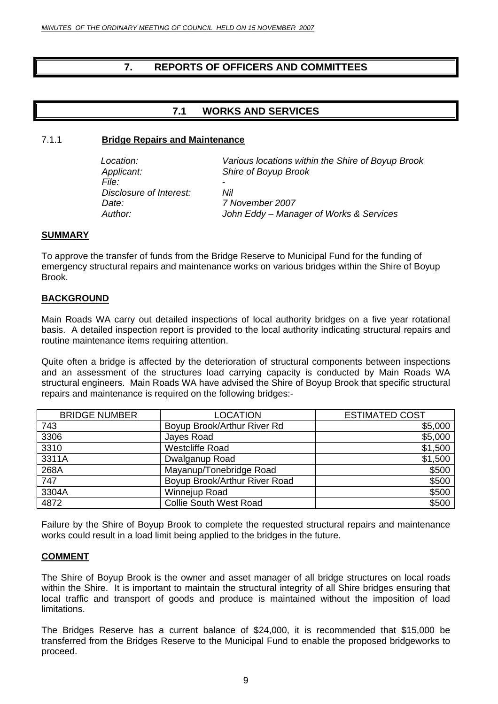### <span id="page-8-0"></span>**7. REPORTS OF OFFICERS AND COMMITTEES**

#### **7.1 WORKS AND SERVICES**

#### 7.1.1 **Bridge Repairs and Maintenance**

*Applicant: Shire of Boyup Brook File:* - *Disclosure of Interest: Nil Date: 7 November 2007* 

*Location: Various locations within the Shire of Boyup Brook* 

*Author: John Eddy – Manager of Works & Services* 

#### **SUMMARY**

To approve the transfer of funds from the Bridge Reserve to Municipal Fund for the funding of emergency structural repairs and maintenance works on various bridges within the Shire of Boyup Brook.

#### **BACKGROUND**

Main Roads WA carry out detailed inspections of local authority bridges on a five year rotational basis. A detailed inspection report is provided to the local authority indicating structural repairs and routine maintenance items requiring attention.

Quite often a bridge is affected by the deterioration of structural components between inspections and an assessment of the structures load carrying capacity is conducted by Main Roads WA structural engineers. Main Roads WA have advised the Shire of Boyup Brook that specific structural repairs and maintenance is required on the following bridges:-

| <b>BRIDGE NUMBER</b> | <b>LOCATION</b>               | <b>ESTIMATED COST</b> |
|----------------------|-------------------------------|-----------------------|
| 743                  | Boyup Brook/Arthur River Rd   | \$5,000               |
| 3306                 | Jayes Road                    | \$5,000               |
| 3310                 | <b>Westcliffe Road</b>        | \$1,500               |
| 3311A                | Dwalganup Road                | \$1,500               |
| 268A                 | Mayanup/Tonebridge Road       | \$500                 |
| 747                  | Boyup Brook/Arthur River Road | \$500                 |
| 3304A                | Winnejup Road                 | \$500                 |
| 4872                 | <b>Collie South West Road</b> | \$500                 |

Failure by the Shire of Boyup Brook to complete the requested structural repairs and maintenance works could result in a load limit being applied to the bridges in the future.

#### **COMMENT**

The Shire of Boyup Brook is the owner and asset manager of all bridge structures on local roads within the Shire. It is important to maintain the structural integrity of all Shire bridges ensuring that local traffic and transport of goods and produce is maintained without the imposition of load limitations.

The Bridges Reserve has a current balance of \$24,000, it is recommended that \$15,000 be transferred from the Bridges Reserve to the Municipal Fund to enable the proposed bridgeworks to proceed.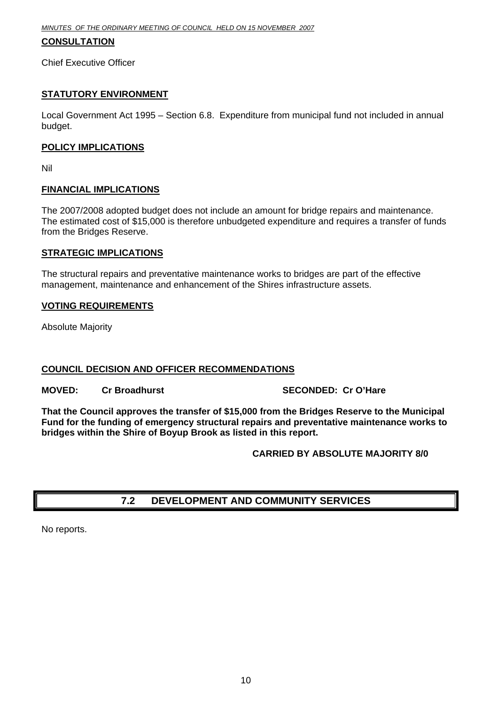#### <span id="page-9-0"></span>**CONSULTATION**

Chief Executive Officer

#### **STATUTORY ENVIRONMENT**

Local Government Act 1995 – Section 6.8. Expenditure from municipal fund not included in annual budget.

#### **POLICY IMPLICATIONS**

Nil

#### **FINANCIAL IMPLICATIONS**

The 2007/2008 adopted budget does not include an amount for bridge repairs and maintenance. The estimated cost of \$15,000 is therefore unbudgeted expenditure and requires a transfer of funds from the Bridges Reserve.

#### **STRATEGIC IMPLICATIONS**

The structural repairs and preventative maintenance works to bridges are part of the effective management, maintenance and enhancement of the Shires infrastructure assets.

#### **VOTING REQUIREMENTS**

Absolute Majority

#### **COUNCIL DECISION AND OFFICER RECOMMENDATIONS**

**MOVED: Cr Broadhurst SECONDED: Cr O'Hare** 

**That the Council approves the transfer of \$15,000 from the Bridges Reserve to the Municipal Fund for the funding of emergency structural repairs and preventative maintenance works to bridges within the Shire of Boyup Brook as listed in this report.** 

 **CARRIED BY ABSOLUTE MAJORITY 8/0** 

## **7.2 DEVELOPMENT AND COMMUNITY SERVICES**

No reports.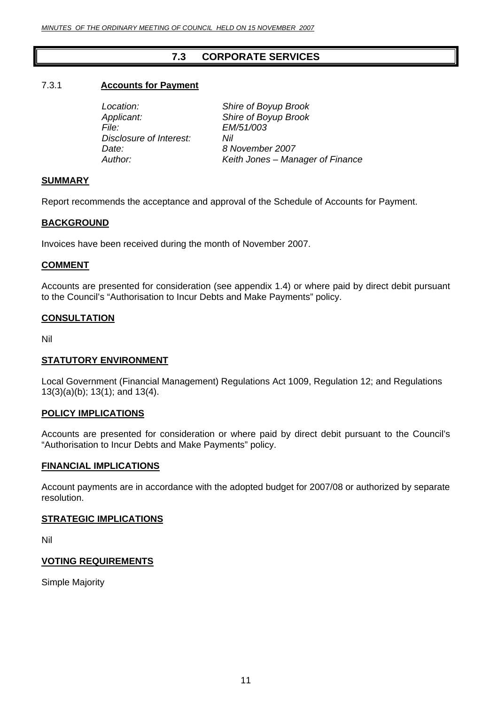### **7.3 CORPORATE SERVICES**

#### <span id="page-10-0"></span>7.3.1 **Accounts for Payment**

*Applicant: Shire of Boyup Brook File: EM/51/003 Disclosure of Interest: Nil Date: 8 November 2007* 

 *Location: Shire of Boyup Brook Author: Keith Jones – Manager of Finance* 

#### **SUMMARY**

Report recommends the acceptance and approval of the Schedule of Accounts for Payment.

#### **BACKGROUND**

Invoices have been received during the month of November 2007.

#### **COMMENT**

Accounts are presented for consideration (see appendix 1.4) or where paid by direct debit pursuant to the Council's "Authorisation to Incur Debts and Make Payments" policy.

#### **CONSULTATION**

Nil

#### **STATUTORY ENVIRONMENT**

Local Government (Financial Management) Regulations Act 1009, Regulation 12; and Regulations 13(3)(a)(b); 13(1); and 13(4).

#### **POLICY IMPLICATIONS**

Accounts are presented for consideration or where paid by direct debit pursuant to the Council's "Authorisation to Incur Debts and Make Payments" policy.

#### **FINANCIAL IMPLICATIONS**

Account payments are in accordance with the adopted budget for 2007/08 or authorized by separate resolution.

#### **STRATEGIC IMPLICATIONS**

Nil

#### **VOTING REQUIREMENTS**

Simple Majority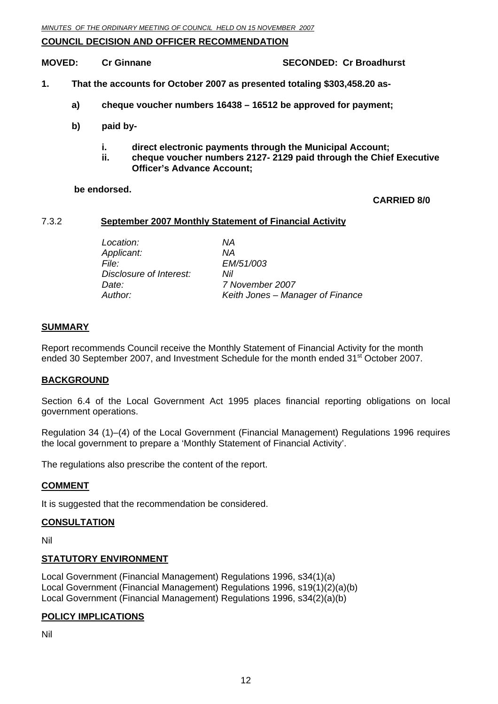#### <span id="page-11-0"></span>**COUNCIL DECISION AND OFFICER RECOMMENDATION**

**MOVED:** Cr Ginnane **SECONDED:** Cr Broadhurst

- **1. That the accounts for October 2007 as presented totaling \$303,458.20 as**
	- **a) cheque voucher numbers 16438 16512 be approved for payment;**
	- **b) paid by** 
		- **i. direct electronic payments through the Municipal Account;**
		- **ii. cheque voucher numbers 2127- 2129 paid through the Chief Executive Officer's Advance Account;**

#### **be endorsed.**

#### **CARRIED 8/0**

#### 7.3.2 **September 2007 Monthly Statement of Financial Activity**

 *Location: NA Applicant: NA File: EM/51/003 Disclosure of Interest: Nil Date: 7 November 2007 Author: Keith Jones – Manager of Finance* 

#### **SUMMARY**

Report recommends Council receive the Monthly Statement of Financial Activity for the month ended 30 September 2007, and Investment Schedule for the month ended 31<sup>st</sup> October 2007.

#### **BACKGROUND**

Section 6.4 of the Local Government Act 1995 places financial reporting obligations on local government operations.

Regulation 34 (1)–(4) of the Local Government (Financial Management) Regulations 1996 requires the local government to prepare a 'Monthly Statement of Financial Activity'.

The regulations also prescribe the content of the report.

#### **COMMENT**

It is suggested that the recommendation be considered.

#### **CONSULTATION**

Nil

#### **STATUTORY ENVIRONMENT**

Local Government (Financial Management) Regulations 1996, s34(1)(a) Local Government (Financial Management) Regulations 1996, s19(1)(2)(a)(b) Local Government (Financial Management) Regulations 1996, s34(2)(a)(b)

#### **POLICY IMPLICATIONS**

Nil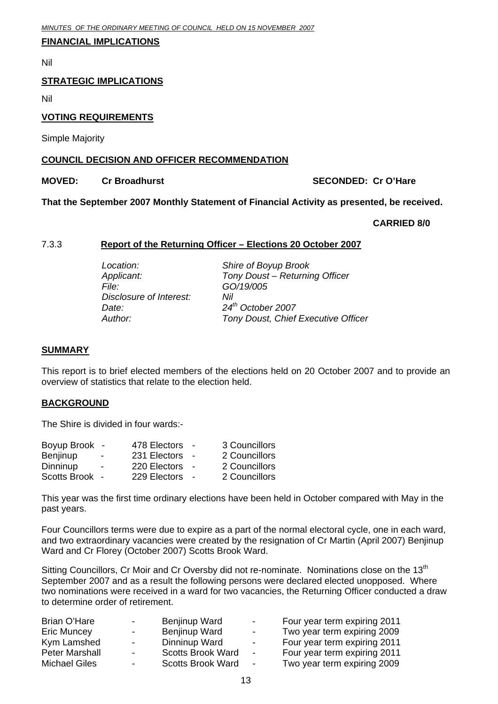#### <span id="page-12-0"></span>**FINANCIAL IMPLICATIONS**

Nil

#### **STRATEGIC IMPLICATIONS**

Nil

#### **VOTING REQUIREMENTS**

Simple Majority

#### **COUNCIL DECISION AND OFFICER RECOMMENDATION**

#### **MOVED:** Cr Broadhurst Cr Cr Cr O'Hare **SECONDED: Cr O'Hare**

**That the September 2007 Monthly Statement of Financial Activity as presented, be received.** 

#### **CARRIED 8/0**

#### 7.3.3 **Report of the Returning Officer – Elections 20 October 2007**

*File: GO/19/005 Disclosure of Interest: Nil Date: 24th October 2007* 

 *Location: Shire of Boyup Brook Applicant: Tony Doust – Returning Officer Author: Tony Doust, Chief Executive Officer* 

#### **SUMMARY**

This report is to brief elected members of the elections held on 20 October 2007 and to provide an overview of statistics that relate to the election held.

#### **BACKGROUND**

The Shire is divided in four wards:-

| Boyup Brook -            | 478 Electors | 3 Councillors |
|--------------------------|--------------|---------------|
| $\overline{\phantom{0}}$ | 231 Electors | 2 Councillors |
| $\sim$                   | 220 Electors | 2 Councillors |
| Scotts Brook -           | 229 Electors | 2 Councillors |
|                          |              | $\sim$        |

This year was the first time ordinary elections have been held in October compared with May in the past years.

Four Councillors terms were due to expire as a part of the normal electoral cycle, one in each ward, and two extraordinary vacancies were created by the resignation of Cr Martin (April 2007) Benjinup Ward and Cr Florey (October 2007) Scotts Brook Ward.

Sitting Councillors, Cr Moir and Cr Oversby did not re-nominate. Nominations close on the 13<sup>th</sup> September 2007 and as a result the following persons were declared elected unopposed. Where two nominations were received in a ward for two vacancies, the Returning Officer conducted a draw to determine order of retirement.

| Brian O'Hare          | $\sim$ 100 $\mu$         | Benjinup Ward            | ۰.                       | Four year term expiring 2011 |
|-----------------------|--------------------------|--------------------------|--------------------------|------------------------------|
| <b>Eric Muncey</b>    | $\overline{\phantom{0}}$ | Benjinup Ward            | $\overline{\phantom{a}}$ | Two year term expiring 2009  |
| Kym Lamshed           | $\sim$                   | Dinninup Ward            | $\overline{\phantom{a}}$ | Four year term expiring 2011 |
| <b>Peter Marshall</b> | $\sim$                   | <b>Scotts Brook Ward</b> | $\blacksquare$           | Four year term expiring 2011 |
| <b>Michael Giles</b>  | $\sim$                   | <b>Scotts Brook Ward</b> | $\overline{\phantom{a}}$ | Two year term expiring 2009  |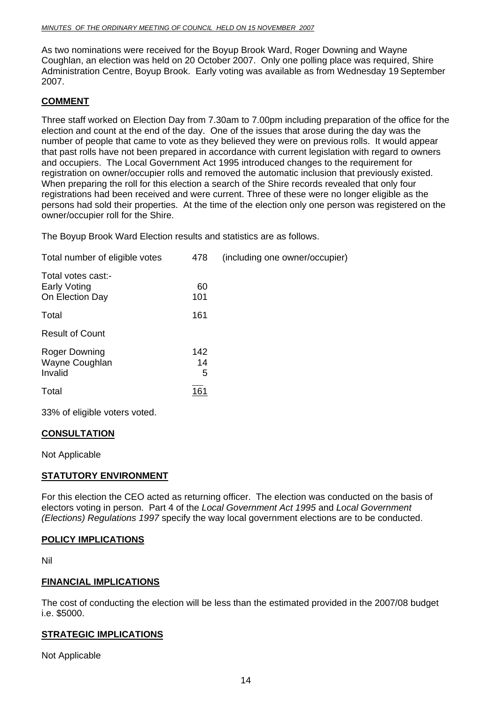As two nominations were received for the Boyup Brook Ward, Roger Downing and Wayne Coughlan, an election was held on 20 October 2007. Only one polling place was required, Shire Administration Centre, Boyup Brook. Early voting was available as from Wednesday 19 September 2007.

#### **COMMENT**

Three staff worked on Election Day from 7.30am to 7.00pm including preparation of the office for the election and count at the end of the day. One of the issues that arose during the day was the number of people that came to vote as they believed they were on previous rolls. It would appear that past rolls have not been prepared in accordance with current legislation with regard to owners and occupiers. The Local Government Act 1995 introduced changes to the requirement for registration on owner/occupier rolls and removed the automatic inclusion that previously existed. When preparing the roll for this election a search of the Shire records revealed that only four registrations had been received and were current. Three of these were no longer eligible as the persons had sold their properties. At the time of the election only one person was registered on the owner/occupier roll for the Shire.

The Boyup Brook Ward Election results and statistics are as follows.

| Total number of eligible votes                               | 478                   | (including one owner/occupier) |
|--------------------------------------------------------------|-----------------------|--------------------------------|
| Total votes cast:-<br><b>Early Voting</b><br>On Election Day | 60<br>101             |                                |
| Total                                                        | 161                   |                                |
| <b>Result of Count</b>                                       |                       |                                |
| Roger Downing<br>Wayne Coughlan<br>Invalid<br>Total          | 142<br>14<br>5<br>161 |                                |

33% of eligible voters voted.

#### **CONSULTATION**

Not Applicable

#### **STATUTORY ENVIRONMENT**

For this election the CEO acted as returning officer. The election was conducted on the basis of electors voting in person. Part 4 of the *Local Government Act 1995* and *Local Government (Elections) Regulations 1997* specify the way local government elections are to be conducted.

#### **POLICY IMPLICATIONS**

Nil

#### **FINANCIAL IMPLICATIONS**

The cost of conducting the election will be less than the estimated provided in the 2007/08 budget i.e. \$5000.

#### **STRATEGIC IMPLICATIONS**

Not Applicable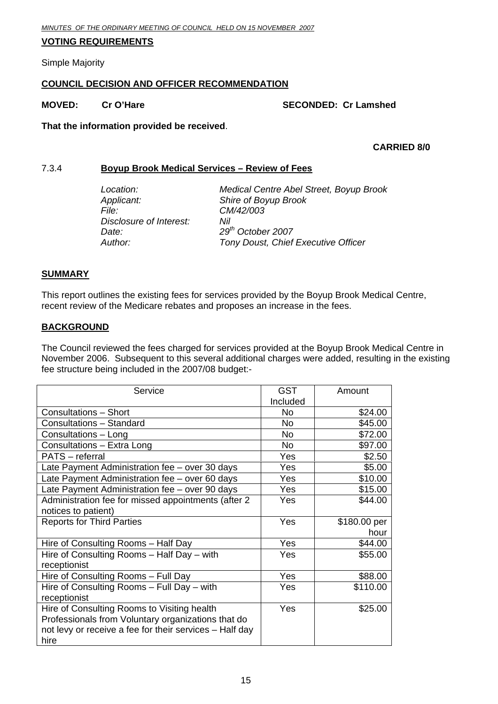#### <span id="page-14-0"></span>**VOTING REQUIREMENTS**

Simple Majority

#### **COUNCIL DECISION AND OFFICER RECOMMENDATION**

#### **MOVED:** Cr O'Hare SECONDED: Cr Lamshed

**That the information provided be received**.

#### **CARRIED 8/0**

#### 7.3.4 **Boyup Brook Medical Services – Review of Fees**

| Location:               | Medical Centre Abel Street, Boyup Brook |
|-------------------------|-----------------------------------------|
| Applicant:              | Shire of Boyup Brook                    |
| File:                   | CM/42/003                               |
| Disclosure of Interest: | Nil                                     |
| Date:                   | $29th$ October 2007                     |
| Author:                 | Tony Doust, Chief Executive Officer     |

#### **SUMMARY**

This report outlines the existing fees for services provided by the Boyup Brook Medical Centre, recent review of the Medicare rebates and proposes an increase in the fees.

#### **BACKGROUND**

The Council reviewed the fees charged for services provided at the Boyup Brook Medical Centre in November 2006. Subsequent to this several additional charges were added, resulting in the existing fee structure being included in the 2007/08 budget:-

| Service                                                 | <b>GST</b> | Amount       |
|---------------------------------------------------------|------------|--------------|
|                                                         | Included   |              |
| <b>Consultations - Short</b>                            | No.        | \$24.00      |
| Consultations - Standard                                | No.        | \$45.00      |
| Consultations - Long                                    | No.        | \$72.00      |
| Consultations - Extra Long                              | <b>No</b>  | \$97.00      |
| PATS - referral                                         | Yes        | \$2.50       |
| Late Payment Administration fee – over 30 days          | Yes        | \$5.00       |
| Late Payment Administration fee - over 60 days          | Yes        | \$10.00      |
| Late Payment Administration fee - over 90 days          | Yes        | \$15.00      |
| Administration fee for missed appointments (after 2     | Yes        | \$44.00      |
| notices to patient)                                     |            |              |
| <b>Reports for Third Parties</b>                        | Yes        | \$180.00 per |
|                                                         |            | hour         |
| Hire of Consulting Rooms - Half Day                     | Yes        | \$44.00      |
| Hire of Consulting Rooms - Half Day - with              | Yes        | \$55.00      |
| receptionist                                            |            |              |
| Hire of Consulting Rooms - Full Day                     | Yes        | \$88.00      |
| Hire of Consulting Rooms - Full Day - with              | Yes        | \$110.00     |
| receptionist                                            |            |              |
| Hire of Consulting Rooms to Visiting health             | Yes        | \$25.00      |
| Professionals from Voluntary organizations that do      |            |              |
| not levy or receive a fee for their services - Half day |            |              |
| hire                                                    |            |              |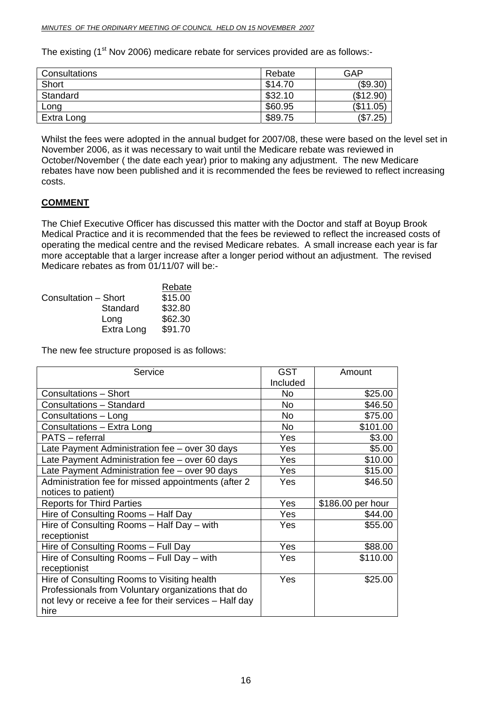The existing (1<sup>st</sup> Nov 2006) medicare rebate for services provided are as follows:-

| Consultations | Rebate  | GAP       |
|---------------|---------|-----------|
| Short         | \$14.70 | (\$9.30)  |
| Standard      | \$32.10 | (\$12.90) |
| Long          | \$60.95 | (\$11.05) |
| Extra Long    | \$89.75 | (\$7.25)  |

Whilst the fees were adopted in the annual budget for 2007/08, these were based on the level set in November 2006, as it was necessary to wait until the Medicare rebate was reviewed in October/November ( the date each year) prior to making any adjustment. The new Medicare rebates have now been published and it is recommended the fees be reviewed to reflect increasing costs.

#### **COMMENT**

The Chief Executive Officer has discussed this matter with the Doctor and staff at Boyup Brook Medical Practice and it is recommended that the fees be reviewed to reflect the increased costs of operating the medical centre and the revised Medicare rebates. A small increase each year is far more acceptable that a larger increase after a longer period without an adjustment. The revised Medicare rebates as from 01/11/07 will be:-

|                      | Rebate  |
|----------------------|---------|
| Consultation - Short | \$15.00 |
| Standard             | \$32.80 |
| Long                 | \$62.30 |
| Extra Long           | \$91.70 |

The new fee structure proposed is as follows:

| Service                                                 | <b>GST</b> | Amount            |
|---------------------------------------------------------|------------|-------------------|
|                                                         | Included   |                   |
| <b>Consultations - Short</b>                            | No.        | \$25.00           |
| Consultations - Standard                                | <b>No</b>  | \$46.50           |
| Consultations - Long                                    | <b>No</b>  | \$75.00           |
| Consultations - Extra Long                              | No.        | \$101.00          |
| <b>PATS</b> – referral                                  | Yes        | \$3.00            |
| Late Payment Administration fee - over 30 days          | Yes        | \$5.00            |
| Late Payment Administration fee - over 60 days          | Yes        | \$10.00           |
| Late Payment Administration fee - over 90 days          | Yes        | \$15.00           |
| Administration fee for missed appointments (after 2     | Yes        | \$46.50           |
| notices to patient)                                     |            |                   |
| <b>Reports for Third Parties</b>                        | Yes        | \$186.00 per hour |
| Hire of Consulting Rooms - Half Day                     | Yes        | \$44.00           |
| Hire of Consulting Rooms - Half Day - with              | Yes        | \$55.00           |
| receptionist                                            |            |                   |
| Hire of Consulting Rooms - Full Day                     | Yes        | \$88.00           |
| Hire of Consulting Rooms - Full Day - with              | Yes        | \$110.00          |
| receptionist                                            |            |                   |
| Hire of Consulting Rooms to Visiting health             | Yes        | \$25.00           |
| Professionals from Voluntary organizations that do      |            |                   |
| not levy or receive a fee for their services - Half day |            |                   |
| hire                                                    |            |                   |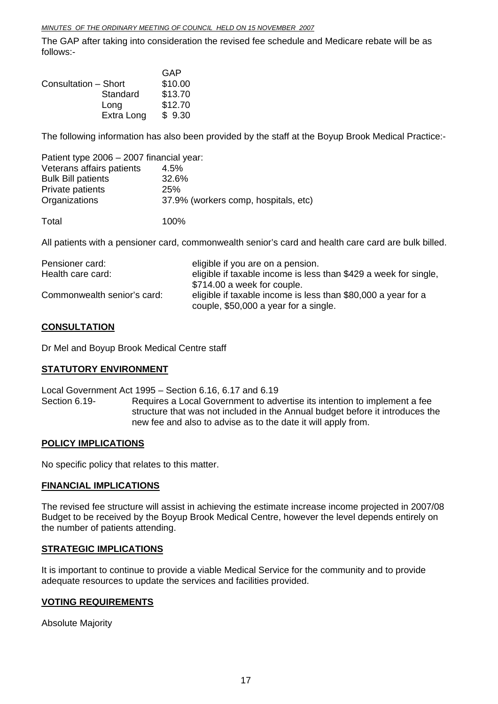The GAP after taking into consideration the revised fee schedule and Medicare rebate will be as follows:-

| GAP     |
|---------|
| \$10.00 |
| \$13.70 |
| \$12.70 |
| \$9.30  |
|         |

The following information has also been provided by the staff at the Boyup Brook Medical Practice:-

| Patient type 2006 - 2007 financial year: |                                      |
|------------------------------------------|--------------------------------------|
| Veterans affairs patients                | 4.5%                                 |
| <b>Bulk Bill patients</b>                | 32.6%                                |
| Private patients                         | 25%                                  |
| Organizations                            | 37.9% (workers comp, hospitals, etc) |
| Total                                    | 100%                                 |

All patients with a pensioner card, commonwealth senior's card and health care card are bulk billed.

| Pensioner card:             | eligible if you are on a pension.                                |
|-----------------------------|------------------------------------------------------------------|
| Health care card:           | eligible if taxable income is less than \$429 a week for single, |
|                             | \$714.00 a week for couple.                                      |
| Commonwealth senior's card: | eligible if taxable income is less than \$80,000 a year for a    |
|                             | couple, \$50,000 a year for a single.                            |

#### **CONSULTATION**

Dr Mel and Boyup Brook Medical Centre staff

#### **STATUTORY ENVIRONMENT**

Local Government Act 1995 – Section 6.16, 6.17 and 6.19 Section 6.19- Requires a Local Government to advertise its intention to implement a fee structure that was not included in the Annual budget before it introduces the new fee and also to advise as to the date it will apply from.

#### **POLICY IMPLICATIONS**

No specific policy that relates to this matter.

#### **FINANCIAL IMPLICATIONS**

The revised fee structure will assist in achieving the estimate increase income projected in 2007/08 Budget to be received by the Boyup Brook Medical Centre, however the level depends entirely on the number of patients attending.

#### **STRATEGIC IMPLICATIONS**

It is important to continue to provide a viable Medical Service for the community and to provide adequate resources to update the services and facilities provided.

#### **VOTING REQUIREMENTS**

Absolute Majority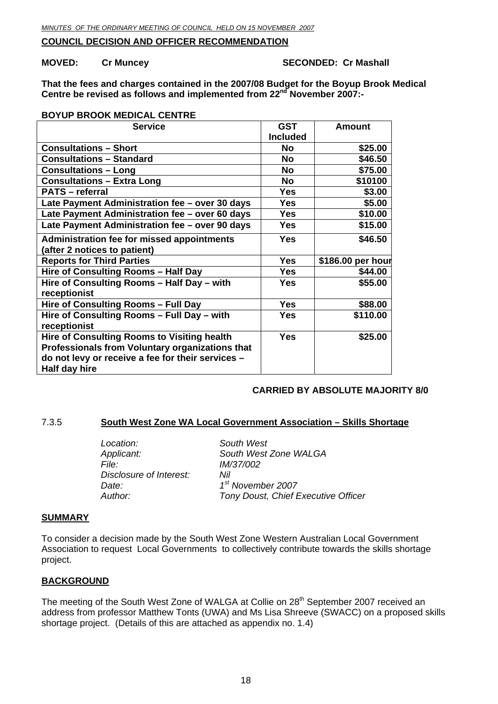#### <span id="page-17-0"></span>**COUNCIL DECISION AND OFFICER RECOMMENDATION**

#### **MOVED:** Cr Muncey **SECONDED:** Cr Mashall

**That the fees and charges contained in the 2007/08 Budget for the Boyup Brook Medical Centre be revised as follows and implemented from 22nd November 2007:-** 

#### **BOYUP BROOK MEDICAL CENTRE**

| <b>Service</b>                                                                                                                                                              | <b>GST</b>      | <b>Amount</b>     |
|-----------------------------------------------------------------------------------------------------------------------------------------------------------------------------|-----------------|-------------------|
|                                                                                                                                                                             | <b>Included</b> |                   |
| <b>Consultations - Short</b>                                                                                                                                                | No              | \$25.00           |
| <b>Consultations - Standard</b>                                                                                                                                             | <b>No</b>       | \$46.50           |
| <b>Consultations - Long</b>                                                                                                                                                 | <b>No</b>       | \$75.00           |
| <b>Consultations - Extra Long</b>                                                                                                                                           | <b>No</b>       | \$10100           |
| <b>PATS</b> - referral                                                                                                                                                      | Yes             | \$3.00            |
| Late Payment Administration fee - over 30 days                                                                                                                              | <b>Yes</b>      | \$5.00            |
| Late Payment Administration fee - over 60 days                                                                                                                              | <b>Yes</b>      | \$10.00           |
| Late Payment Administration fee - over 90 days                                                                                                                              | <b>Yes</b>      | \$15.00           |
| Administration fee for missed appointments                                                                                                                                  | <b>Yes</b>      | \$46.50           |
| (after 2 notices to patient)                                                                                                                                                |                 |                   |
| <b>Reports for Third Parties</b>                                                                                                                                            | Yes             | \$186.00 per hour |
| Hire of Consulting Rooms - Half Day                                                                                                                                         | <b>Yes</b>      | \$44.00           |
| Hire of Consulting Rooms - Half Day - with<br>receptionist                                                                                                                  | <b>Yes</b>      | \$55.00           |
| Hire of Consulting Rooms - Full Day                                                                                                                                         | <b>Yes</b>      | \$88.00           |
| Hire of Consulting Rooms - Full Day - with<br>receptionist                                                                                                                  | <b>Yes</b>      | \$110.00          |
| <b>Hire of Consulting Rooms to Visiting health</b><br>Professionals from Voluntary organizations that<br>do not levy or receive a fee for their services -<br>Half day hire | <b>Yes</b>      | \$25.00           |

#### **CARRIED BY ABSOLUTE MAJORITY 8/0**

#### 7.3.5 **South West Zone WA Local Government Association – Skills Shortage**

*Location: South West File: IM/37/002 Disclosure of Interest: Nil Date: 1st November 2007* 

*Applicant: South West Zone WALGA Author: Tony Doust, Chief Executive Officer*

#### **SUMMARY**

To consider a decision made by the South West Zone Western Australian Local Government Association to request Local Governments to collectively contribute towards the skills shortage project.

#### **BACKGROUND**

The meeting of the South West Zone of WALGA at Collie on 28<sup>th</sup> September 2007 received an address from professor Matthew Tonts (UWA) and Ms Lisa Shreeve (SWACC) on a proposed skills shortage project. (Details of this are attached as appendix no. 1.4)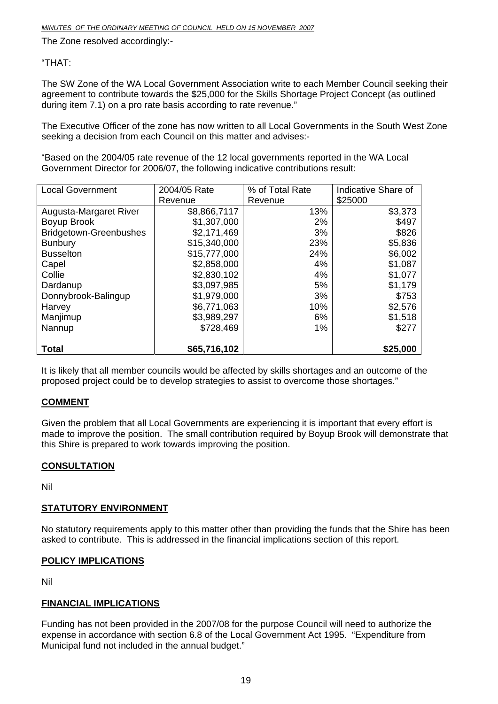The Zone resolved accordingly:-

#### "THAT:

The SW Zone of the WA Local Government Association write to each Member Council seeking their agreement to contribute towards the \$25,000 for the Skills Shortage Project Concept (as outlined during item 7.1) on a pro rate basis according to rate revenue."

The Executive Officer of the zone has now written to all Local Governments in the South West Zone seeking a decision from each Council on this matter and advises:-

"Based on the 2004/05 rate revenue of the 12 local governments reported in the WA Local Government Director for 2006/07, the following indicative contributions result:

| <b>Local Government</b>       | 2004/05 Rate | % of Total Rate | Indicative Share of |
|-------------------------------|--------------|-----------------|---------------------|
|                               | Revenue      | Revenue         | \$25000             |
| Augusta-Margaret River        | \$8,866,7117 | 13%             | \$3,373             |
| Boyup Brook                   | \$1,307,000  | $2\%$           | \$497               |
| <b>Bridgetown-Greenbushes</b> | \$2,171,469  | 3%              | \$826               |
| <b>Bunbury</b>                | \$15,340,000 | 23%             | \$5,836             |
| <b>Busselton</b>              | \$15,777,000 | 24%             | \$6,002             |
| Capel                         | \$2,858,000  | 4%              | \$1,087             |
| Collie                        | \$2,830,102  | 4%              | \$1,077             |
| Dardanup                      | \$3,097,985  | 5%              | \$1,179             |
| Donnybrook-Balingup           | \$1,979,000  | 3%              | \$753               |
| Harvey                        | \$6,771,063  | 10%             | \$2,576             |
| Manjimup                      | \$3,989,297  | 6%              | \$1,518             |
| Nannup                        | \$728,469    | 1%              | \$277               |
| <b>Total</b>                  | \$65,716,102 |                 | \$25,000            |

It is likely that all member councils would be affected by skills shortages and an outcome of the proposed project could be to develop strategies to assist to overcome those shortages."

#### **COMMENT**

Given the problem that all Local Governments are experiencing it is important that every effort is made to improve the position. The small contribution required by Boyup Brook will demonstrate that this Shire is prepared to work towards improving the position.

#### **CONSULTATION**

Nil

#### **STATUTORY ENVIRONMENT**

No statutory requirements apply to this matter other than providing the funds that the Shire has been asked to contribute. This is addressed in the financial implications section of this report.

#### **POLICY IMPLICATIONS**

Nil

#### **FINANCIAL IMPLICATIONS**

Funding has not been provided in the 2007/08 for the purpose Council will need to authorize the expense in accordance with section 6.8 of the Local Government Act 1995. "Expenditure from Municipal fund not included in the annual budget."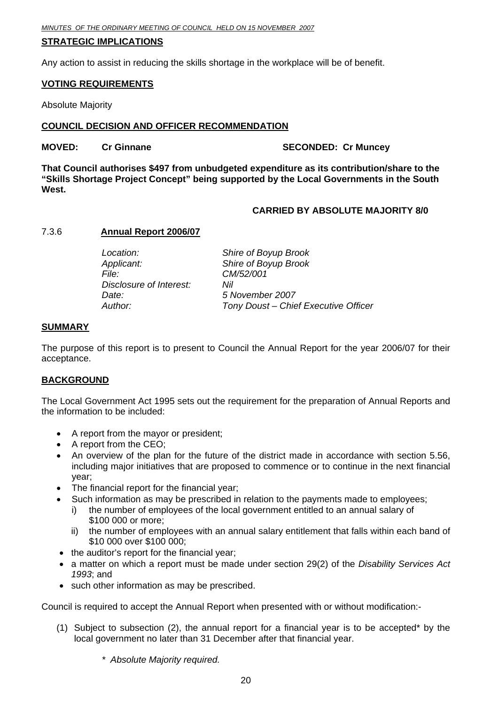#### <span id="page-19-0"></span>**STRATEGIC IMPLICATIONS**

Any action to assist in reducing the skills shortage in the workplace will be of benefit.

#### **VOTING REQUIREMENTS**

Absolute Majority

#### **COUNCIL DECISION AND OFFICER RECOMMENDATION**

#### **MOVED:** Cr Ginnane **SECONDED:** Cr Muncey

**That Council authorises \$497 from unbudgeted expenditure as its contribution/share to the "Skills Shortage Project Concept" being supported by the Local Governments in the South West.** 

#### **CARRIED BY ABSOLUTE MAJORITY 8/0**

#### 7.3.6 **Annual Report 2006/07**

| Location:               | Shire of Boyup Brook                 |
|-------------------------|--------------------------------------|
| Applicant:              | Shire of Boyup Brook                 |
| <i>File:</i>            | CM/52/001                            |
| Disclosure of Interest: | Nil                                  |
| Date:                   | 5 November 2007                      |
| Author:                 | Tony Doust - Chief Executive Officer |

#### **SUMMARY**

The purpose of this report is to present to Council the Annual Report for the year 2006/07 for their acceptance.

#### **BACKGROUND**

The Local Government Act 1995 sets out the requirement for the preparation of Annual Reports and the information to be included:

- A report from the mayor or president;
- A report from the CEO:
- An overview of the plan for the future of the district made in accordance with section 5.56, including major initiatives that are proposed to commence or to continue in the next financial year;
- The financial report for the financial year;
- Such information as may be prescribed in relation to the payments made to employees;
	- i) the number of employees of the local government entitled to an annual salary of \$100 000 or more;
	- ii) the number of employees with an annual salary entitlement that falls within each band of \$10 000 over \$100 000;
- the auditor's report for the financial year;
- a matter on which a report must be made under section 29(2) of the *Disability Services Act 1993*; and
- such other information as may be prescribed.

Council is required to accept the Annual Report when presented with or without modification:-

(1) Subject to subsection (2), the annual report for a financial year is to be accepted\* by the local government no later than 31 December after that financial year.

*\* Absolute Majority required.*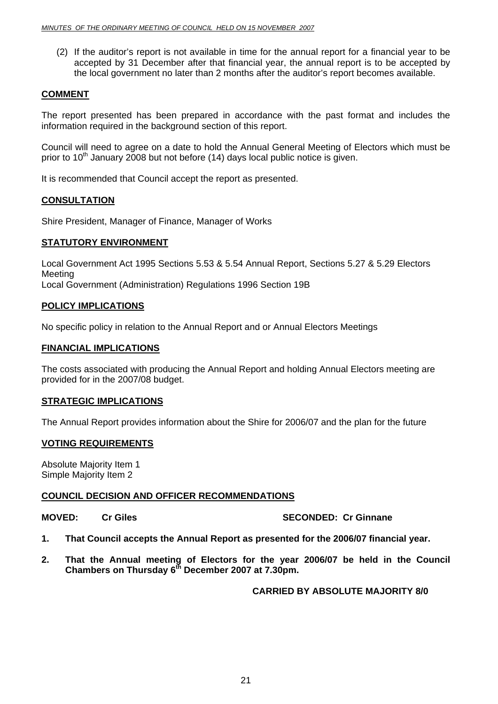(2) If the auditor's report is not available in time for the annual report for a financial year to be accepted by 31 December after that financial year, the annual report is to be accepted by the local government no later than 2 months after the auditor's report becomes available.

#### **COMMENT**

The report presented has been prepared in accordance with the past format and includes the information required in the background section of this report.

Council will need to agree on a date to hold the Annual General Meeting of Electors which must be prior to  $10<sup>th</sup>$  January 2008 but not before (14) days local public notice is given.

It is recommended that Council accept the report as presented.

#### **CONSULTATION**

Shire President, Manager of Finance, Manager of Works

#### **STATUTORY ENVIRONMENT**

Local Government Act 1995 Sections 5.53 & 5.54 Annual Report, Sections 5.27 & 5.29 Electors Meeting Local Government (Administration) Regulations 1996 Section 19B

#### **POLICY IMPLICATIONS**

No specific policy in relation to the Annual Report and or Annual Electors Meetings

#### **FINANCIAL IMPLICATIONS**

The costs associated with producing the Annual Report and holding Annual Electors meeting are provided for in the 2007/08 budget.

#### **STRATEGIC IMPLICATIONS**

The Annual Report provides information about the Shire for 2006/07 and the plan for the future

#### **VOTING REQUIREMENTS**

Absolute Majority Item 1 Simple Majority Item 2

#### **COUNCIL DECISION AND OFFICER RECOMMENDATIONS**

**MOVED:** Cr Giles **SECONDED:** Cr Ginnane

- **1. That Council accepts the Annual Report as presented for the 2006/07 financial year.**
- **2. That the Annual meeting of Electors for the year 2006/07 be held in the Council Chambers on Thursday 6th December 2007 at 7.30pm.**

#### **CARRIED BY ABSOLUTE MAJORITY 8/0**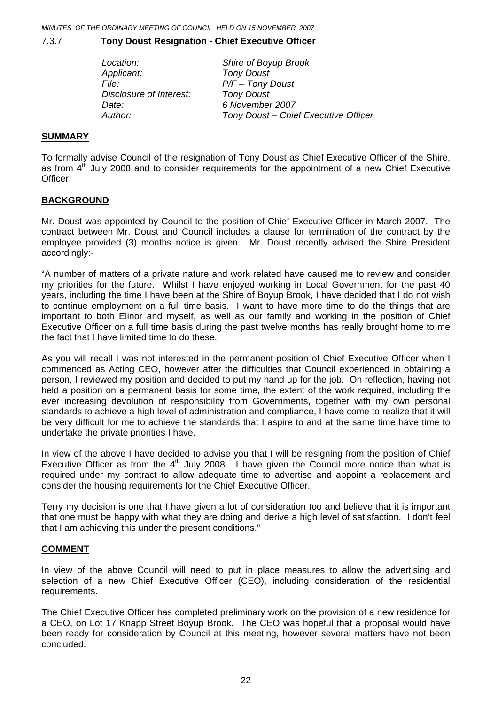#### <span id="page-21-0"></span>7.3.7 **Tony Doust Resignation - Chief Executive Officer**

| Location:               | Shire of Boyup Brook                 |
|-------------------------|--------------------------------------|
| Applicant:              | <b>Tony Doust</b>                    |
| <i>File:</i>            | $P/F$ – Tony Doust                   |
| Disclosure of Interest: | <b>Tony Doust</b>                    |
| Date:                   | 6 November 2007                      |
| Author:                 | Tony Doust - Chief Executive Officer |

#### **SUMMARY**

To formally advise Council of the resignation of Tony Doust as Chief Executive Officer of the Shire, as from  $4<sup>th</sup>$  July 2008 and to consider requirements for the appointment of a new Chief Executive Officer.

#### **BACKGROUND**

Mr. Doust was appointed by Council to the position of Chief Executive Officer in March 2007. The contract between Mr. Doust and Council includes a clause for termination of the contract by the employee provided (3) months notice is given. Mr. Doust recently advised the Shire President accordingly:-

"A number of matters of a private nature and work related have caused me to review and consider my priorities for the future. Whilst I have enjoyed working in Local Government for the past 40 years, including the time I have been at the Shire of Boyup Brook, I have decided that I do not wish to continue employment on a full time basis. I want to have more time to do the things that are important to both Elinor and myself, as well as our family and working in the position of Chief Executive Officer on a full time basis during the past twelve months has really brought home to me the fact that I have limited time to do these.

As you will recall I was not interested in the permanent position of Chief Executive Officer when I commenced as Acting CEO, however after the difficulties that Council experienced in obtaining a person, I reviewed my position and decided to put my hand up for the job. On reflection, having not held a position on a permanent basis for some time, the extent of the work required, including the ever increasing devolution of responsibility from Governments, together with my own personal standards to achieve a high level of administration and compliance, I have come to realize that it will be very difficult for me to achieve the standards that I aspire to and at the same time have time to undertake the private priorities I have.

In view of the above I have decided to advise you that I will be resigning from the position of Chief Executive Officer as from the  $4<sup>th</sup>$  July 2008. I have given the Council more notice than what is required under my contract to allow adequate time to advertise and appoint a replacement and consider the housing requirements for the Chief Executive Officer.

Terry my decision is one that I have given a lot of consideration too and believe that it is important that one must be happy with what they are doing and derive a high level of satisfaction. I don't feel that I am achieving this under the present conditions."

#### **COMMENT**

In view of the above Council will need to put in place measures to allow the advertising and selection of a new Chief Executive Officer (CEO), including consideration of the residential requirements.

The Chief Executive Officer has completed preliminary work on the provision of a new residence for a CEO, on Lot 17 Knapp Street Boyup Brook. The CEO was hopeful that a proposal would have been ready for consideration by Council at this meeting, however several matters have not been concluded.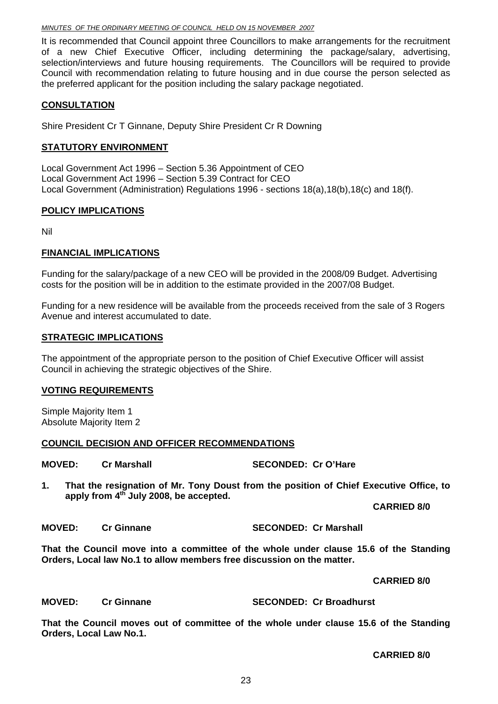#### *MINUTES OF THE ORDINARY MEETING OF COUNCIL HELD ON 15 NOVEMBER 2007*

It is recommended that Council appoint three Councillors to make arrangements for the recruitment of a new Chief Executive Officer, including determining the package/salary, advertising, selection/interviews and future housing requirements. The Councillors will be required to provide Council with recommendation relating to future housing and in due course the person selected as the preferred applicant for the position including the salary package negotiated.

#### **CONSULTATION**

Shire President Cr T Ginnane, Deputy Shire President Cr R Downing

#### **STATUTORY ENVIRONMENT**

Local Government Act 1996 – Section 5.36 Appointment of CEO Local Government Act 1996 – Section 5.39 Contract for CEO Local Government (Administration) Regulations 1996 - sections 18(a),18(b),18(c) and 18(f).

#### **POLICY IMPLICATIONS**

Nil

#### **FINANCIAL IMPLICATIONS**

Funding for the salary/package of a new CEO will be provided in the 2008/09 Budget. Advertising costs for the position will be in addition to the estimate provided in the 2007/08 Budget.

Funding for a new residence will be available from the proceeds received from the sale of 3 Rogers Avenue and interest accumulated to date.

#### **STRATEGIC IMPLICATIONS**

The appointment of the appropriate person to the position of Chief Executive Officer will assist Council in achieving the strategic objectives of the Shire.

#### **VOTING REQUIREMENTS**

Simple Majority Item 1 Absolute Majority Item 2

#### **COUNCIL DECISION AND OFFICER RECOMMENDATIONS**

**MOVED: Cr Marshall SECONDED: Cr O'Hare** 

**1. That the resignation of Mr. Tony Doust from the position of Chief Executive Office, to apply from 4th July 2008, be accepted.** 

**CARRIED 8/0** 

**MOVED: Cr Ginnane SECONDED: Cr Marshall** 

**That the Council move into a committee of the whole under clause 15.6 of the Standing Orders, Local law No.1 to allow members free discussion on the matter.** 

 **CARRIED 8/0** 

**MOVED: Cr Ginnane SECONDED: Cr Broadhurst** 

**That the Council moves out of committee of the whole under clause 15.6 of the Standing Orders, Local Law No.1.** 

 **CARRIED 8/0**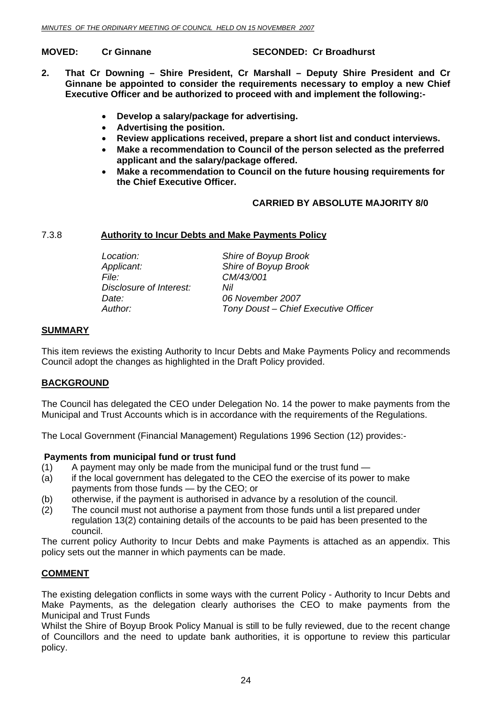<span id="page-23-0"></span>**MOVED: Cr Ginnane SECONDED: Cr Broadhurst** 

- **2. That Cr Downing Shire President, Cr Marshall Deputy Shire President and Cr Ginnane be appointed to consider the requirements necessary to employ a new Chief Executive Officer and be authorized to proceed with and implement the following:-** 
	- **Develop a salary/package for advertising.**
	- **Advertising the position.**
	- **Review applications received, prepare a short list and conduct interviews.**
	- **Make a recommendation to Council of the person selected as the preferred applicant and the salary/package offered.**
	- **Make a recommendation to Council on the future housing requirements for the Chief Executive Officer.**

#### **CARRIED BY ABSOLUTE MAJORITY 8/0**

#### 7.3.8 **Authority to Incur Debts and Make Payments Policy**

| Location:               | Shire of Boyup Brook                 |
|-------------------------|--------------------------------------|
| Applicant:              | Shire of Boyup Brook                 |
| <i>File:</i>            | CM/43/001                            |
| Disclosure of Interest: | Nil                                  |
| Date:                   | 06 November 2007                     |
| Author:                 | Tony Doust - Chief Executive Officer |

#### **SUMMARY**

This item reviews the existing Authority to Incur Debts and Make Payments Policy and recommends Council adopt the changes as highlighted in the Draft Policy provided.

#### **BACKGROUND**

The Council has delegated the CEO under Delegation No. 14 the power to make payments from the Municipal and Trust Accounts which is in accordance with the requirements of the Regulations.

The Local Government (Financial Management) Regulations 1996 Section (12) provides:-

#### **Payments from municipal fund or trust fund**

- $(1)$  A payment may only be made from the municipal fund or the trust fund  $-$
- (a) if the local government has delegated to the CEO the exercise of its power to make payments from those funds — by the CEO; or
- (b) otherwise, if the payment is authorised in advance by a resolution of the council.
- (2) The council must not authorise a payment from those funds until a list prepared under regulation 13(2) containing details of the accounts to be paid has been presented to the council.

The current policy Authority to Incur Debts and make Payments is attached as an appendix. This policy sets out the manner in which payments can be made.

#### **COMMENT**

The existing delegation conflicts in some ways with the current Policy - Authority to Incur Debts and Make Payments, as the delegation clearly authorises the CEO to make payments from the Municipal and Trust Funds

Whilst the Shire of Boyup Brook Policy Manual is still to be fully reviewed, due to the recent change of Councillors and the need to update bank authorities, it is opportune to review this particular policy.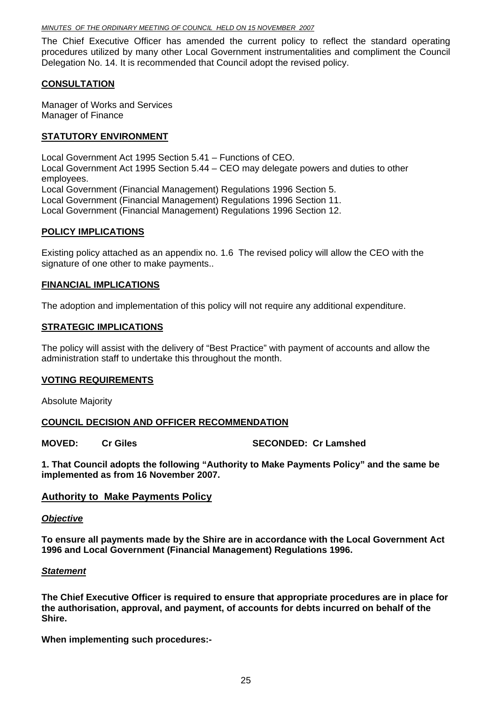#### *MINUTES OF THE ORDINARY MEETING OF COUNCIL HELD ON 15 NOVEMBER 2007*

The Chief Executive Officer has amended the current policy to reflect the standard operating procedures utilized by many other Local Government instrumentalities and compliment the Council Delegation No. 14. It is recommended that Council adopt the revised policy.

#### **CONSULTATION**

Manager of Works and Services Manager of Finance

#### **STATUTORY ENVIRONMENT**

Local Government Act 1995 Section 5.41 – Functions of CEO. Local Government Act 1995 Section 5.44 – CEO may delegate powers and duties to other employees. Local Government (Financial Management) Regulations 1996 Section 5. Local Government (Financial Management) Regulations 1996 Section 11. Local Government (Financial Management) Regulations 1996 Section 12.

#### **POLICY IMPLICATIONS**

Existing policy attached as an appendix no. 1.6 The revised policy will allow the CEO with the signature of one other to make payments..

#### **FINANCIAL IMPLICATIONS**

The adoption and implementation of this policy will not require any additional expenditure.

#### **STRATEGIC IMPLICATIONS**

The policy will assist with the delivery of "Best Practice" with payment of accounts and allow the administration staff to undertake this throughout the month.

#### **VOTING REQUIREMENTS**

Absolute Majority

#### **COUNCIL DECISION AND OFFICER RECOMMENDATION**

**MOVED:** Cr Giles **SECONDED:** Cr Lamshed

**1. That Council adopts the following "Authority to Make Payments Policy" and the same be implemented as from 16 November 2007.** 

#### **Authority to Make Payments Policy**

#### *Objective*

**To ensure all payments made by the Shire are in accordance with the Local Government Act 1996 and Local Government (Financial Management) Regulations 1996.** 

#### *Statement*

**The Chief Executive Officer is required to ensure that appropriate procedures are in place for the authorisation, approval, and payment, of accounts for debts incurred on behalf of the Shire.** 

**When implementing such procedures:-**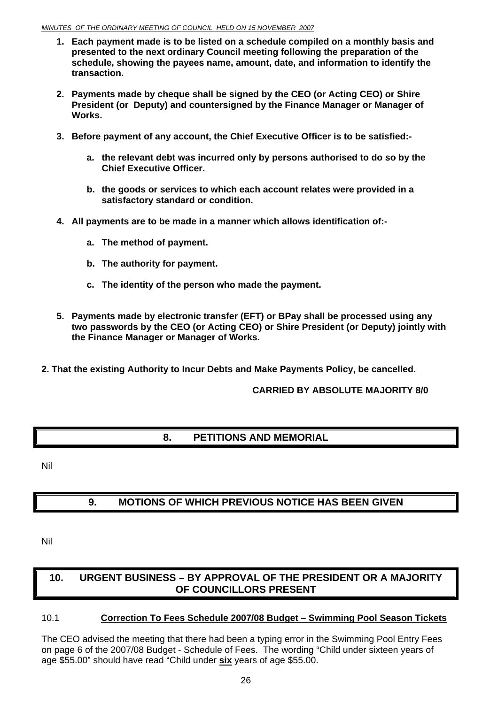#### <span id="page-25-0"></span>*MINUTES OF THE ORDINARY MEETING OF COUNCIL HELD ON 15 NOVEMBER 2007*

- **1. Each payment made is to be listed on a schedule compiled on a monthly basis and presented to the next ordinary Council meeting following the preparation of the schedule, showing the payees name, amount, date, and information to identify the transaction.**
- **2. Payments made by cheque shall be signed by the CEO (or Acting CEO) or Shire President (or Deputy) and countersigned by the Finance Manager or Manager of Works.**
- **3. Before payment of any account, the Chief Executive Officer is to be satisfied:** 
	- **a. the relevant debt was incurred only by persons authorised to do so by the Chief Executive Officer.**
	- **b. the goods or services to which each account relates were provided in a satisfactory standard or condition.**
- **4. All payments are to be made in a manner which allows identification of:** 
	- **a. The method of payment.**
	- **b. The authority for payment.**
	- **c. The identity of the person who made the payment.**
- **5. Payments made by electronic transfer (EFT) or BPay shall be processed using any two passwords by the CEO (or Acting CEO) or Shire President (or Deputy) jointly with the Finance Manager or Manager of Works.**
- **2. That the existing Authority to Incur Debts and Make Payments Policy, be cancelled.**

#### **CARRIED BY ABSOLUTE MAJORITY 8/0**

### **8. PETITIONS AND MEMORIAL**

Nil

## **9. MOTIONS OF WHICH PREVIOUS NOTICE HAS BEEN GIVEN**

Nil

## **10. URGENT BUSINESS – BY APPROVAL OF THE PRESIDENT OR A MAJORITY OF COUNCILLORS PRESENT**

#### 10.1 **Correction To Fees Schedule 2007/08 Budget – Swimming Pool Season Tickets**

The CEO advised the meeting that there had been a typing error in the Swimming Pool Entry Fees on page 6 of the 2007/08 Budget - Schedule of Fees. The wording "Child under sixteen years of age \$55.00" should have read "Child under **six** years of age \$55.00.